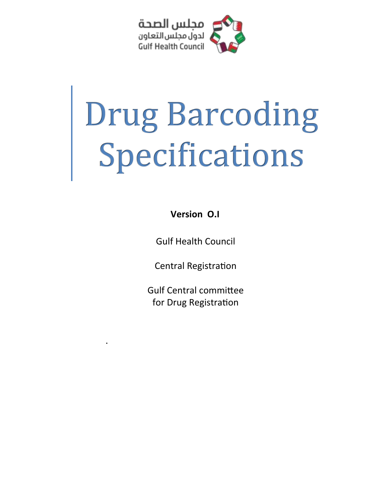

# Drug Barcoding<br>Specifications

**Version O.I**

Gulf Health Council

Central Registration

 Gulf Central committee for Drug Registration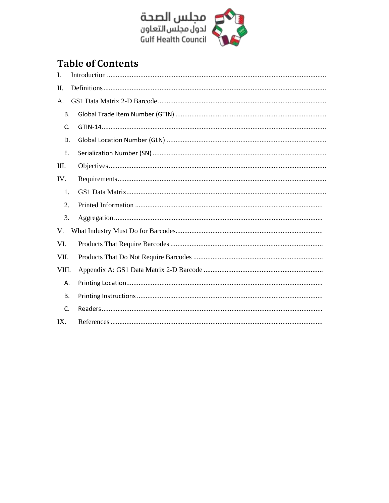

# **Table of Contents**

| I.    |  |  |  |  |  |
|-------|--|--|--|--|--|
| Π.    |  |  |  |  |  |
| A.    |  |  |  |  |  |
| В.    |  |  |  |  |  |
| C.    |  |  |  |  |  |
| D.    |  |  |  |  |  |
| Ε.    |  |  |  |  |  |
| III.  |  |  |  |  |  |
| IV.   |  |  |  |  |  |
| 1.    |  |  |  |  |  |
| 2.    |  |  |  |  |  |
| 3.    |  |  |  |  |  |
| V.    |  |  |  |  |  |
| VI.   |  |  |  |  |  |
| VII.  |  |  |  |  |  |
| VIII. |  |  |  |  |  |
| А.    |  |  |  |  |  |
| В.    |  |  |  |  |  |
| C.    |  |  |  |  |  |
| IX.   |  |  |  |  |  |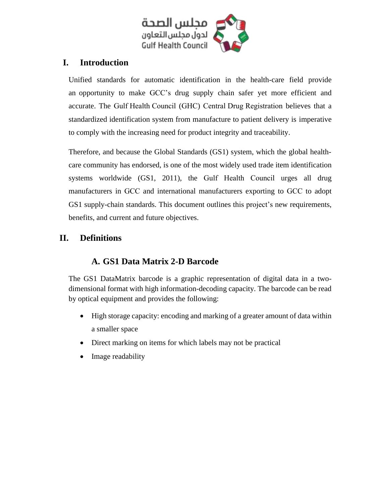

#### <span id="page-2-0"></span>**I. Introduction**

Unified standards for automatic identification in the health-care field provide an opportunity to make GCC's drug supply chain safer yet more efficient and accurate. The Gulf Health Council (GHC) Central Drug Registration believes that a standardized identification system from manufacture to patient delivery is imperative to comply with the increasing need for product integrity and traceability.

Therefore, and because the Global Standards (GS1) system, which the global healthcare community has endorsed, is one of the most widely used trade item identification systems worldwide (GS1, 2011), the Gulf Health Council urges all drug manufacturers in GCC and international manufacturers exporting to GCC to adopt GS1 supply-chain standards. This document outlines this project's new requirements, benefits, and current and future objectives.

#### <span id="page-2-1"></span>**II. Definitions**

#### **A. GS1 Data Matrix 2-D Barcode**

<span id="page-2-2"></span>The GS1 DataMatrix barcode is a graphic representation of digital data in a twodimensional format with high information-decoding capacity. The barcode can be read by optical equipment and provides the following:

- High storage capacity: encoding and marking of a greater amount of data within a smaller space
- Direct marking on items for which labels may not be practical
- Image readability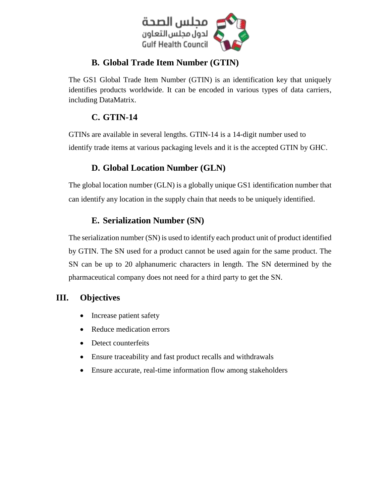

#### **B. Global Trade Item Number (GTIN)**

<span id="page-3-0"></span>The GS1 Global Trade Item Number (GTIN) is an identification key that uniquely identifies products worldwide. It can be encoded in various types of data carriers, including DataMatrix.

#### **C. GTIN-14**

<span id="page-3-1"></span>GTINs are available in several lengths. GTIN-14 is a 14-digit number used to identify trade items at various packaging levels and it is the accepted GTIN by GHC.

# **D. Global Location Number (GLN)**

<span id="page-3-2"></span>The global location number (GLN) is a globally unique GS1 identification number that can identify any location in the supply chain that needs to be uniquely identified.

# **E. Serialization Number (SN)**

<span id="page-3-3"></span>The serialization number (SN) is used to identify each product unit of product identified by GTIN. The SN used for a product cannot be used again for the same product. The SN can be up to 20 alphanumeric characters in length. The SN determined by the pharmaceutical company does not need for a third party to get the SN.

#### <span id="page-3-4"></span>**III. Objectives**

- Increase patient safety
- Reduce medication errors
- Detect counterfeits
- Ensure traceability and fast product recalls and withdrawals
- Ensure accurate, real-time information flow among stakeholders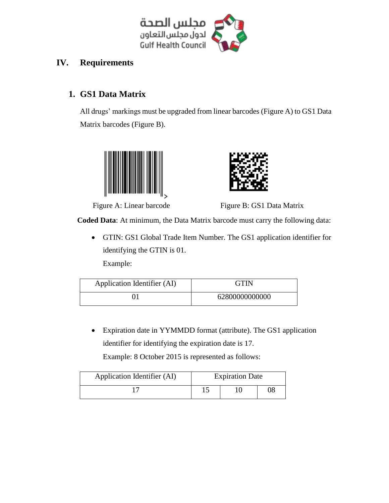

# <span id="page-4-0"></span>**IV. Requirements**

# <span id="page-4-1"></span>**1. GS1 Data Matrix**

All drugs' markings must be upgraded from linear barcodes (Figure A) to GS1 Data Matrix barcodes (Figure B).





Figure A: Linear barcode Figure B: GS1 Data Matrix

**Coded Data**: At minimum, the Data Matrix barcode must carry the following data:

 GTIN: GS1 Global Trade Item Number. The GS1 application identifier for identifying the GTIN is 01.

Example:

| Application Identifier (AI) | GTIN           |
|-----------------------------|----------------|
|                             | 62800000000000 |

 Expiration date in YYMMDD format (attribute). The GS1 application identifier for identifying the expiration date is 17. Example: 8 October 2015 is represented as follows:

| Application Identifier (AI) | <b>Expiration Date</b> |  |  |
|-----------------------------|------------------------|--|--|
|                             |                        |  |  |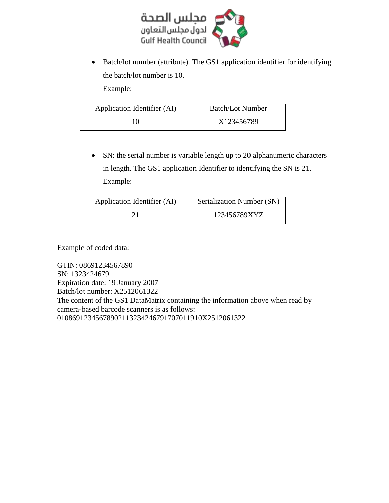

 Batch/lot number (attribute). The GS1 application identifier for identifying the batch/lot number is 10. Example:

| Application Identifier (AI) | Batch/Lot Number |
|-----------------------------|------------------|
|                             | X123456789       |

• SN: the serial number is variable length up to 20 alphanumeric characters in length. The GS1 application Identifier to identifying the SN is 21. Example:

| Application Identifier (AI) | Serialization Number (SN) |
|-----------------------------|---------------------------|
|                             | 123456789XYZ              |

Example of coded data:

GTIN: 08691234567890 SN: 1323424679 Expiration date: 19 January 2007 Batch/lot number: X2512061322 The content of the GS1 DataMatrix containing the information above when read by camera-based barcode scanners is as follows: 01086912345678902113234246791707011910X2512061322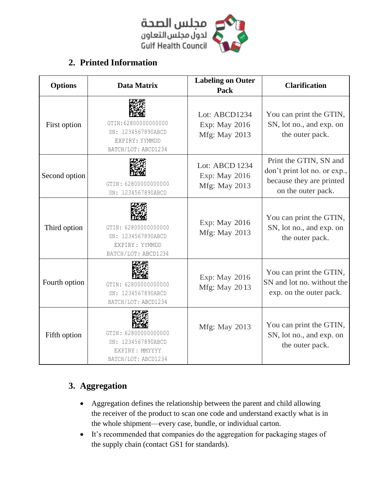

# <span id="page-6-0"></span>**2. Printed Information**

| <b>Options</b> | <b>Data Matrix</b>                                                                  | <b>Labeling on Outer</b><br>Pack                 | <b>Clarification</b>                                                                                     |
|----------------|-------------------------------------------------------------------------------------|--------------------------------------------------|----------------------------------------------------------------------------------------------------------|
| First option   | GTIN:62800000000000<br>SN: 1234567890ABCD<br>EXPIRY: YYMMDD<br>BATCH/LOT: ABCD1234  | Lot: ABCD1234<br>Exp: May 2016<br>Mfg: May 2013  | You can print the GTIN,<br>SN, lot no., and exp. on<br>the outer pack.                                   |
| Second option  | GTIN: 62800000000000<br>SN: 1234567890ABCD                                          | Lot: ABCD 1234<br>Exp: May 2016<br>Mfg: May 2013 | Print the GTIN, SN and<br>don't print lot no. or exp.,<br>because they are printed<br>on the outer pack. |
| Third option   | GTIN: 62800000000000<br>SN: 1234567890ABCD<br>EXPIRY: YYMMDD<br>BATCH/LOT: ABCD1234 | Exp: May 2016<br>Mfg: May 2013                   | You can print the GTIN,<br>SN, lot no., and exp. on<br>the outer pack.                                   |
| Fourth option  | GTIN: 62800000000000<br>SN: 1234567890ABCD<br>BATCH/LOT: ABCD1234                   | Exp: May 2016<br>Mfg: May 2013                   | You can print the GTIN,<br>SN and lot no. without the<br>exp. on the outer pack.                         |
| Fifth option   | GTIN: 62800000000000<br>SN: 1234567890ABCD<br>EXPIRY: MMYYYY<br>BATCH/LOT: ABCD1234 | Mfg: May 2013                                    | You can print the GTIN,<br>SN, lot no., and exp. on<br>the outer pack.                                   |

# <span id="page-6-1"></span>**3. Aggregation**

- Aggregation defines the relationship between the parent and child allowing the receiver of the product to scan one code and understand exactly what is in the whole shipment—every case, bundle, or individual carton.
- It's recommended that companies do the aggregation for packaging stages of the supply chain (contact GS1 for standards).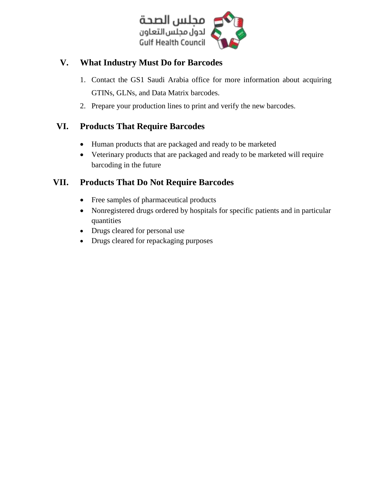

## <span id="page-7-0"></span>**V. What Industry Must Do for Barcodes**

- 1. Contact the GS1 Saudi Arabia office for more information about acquiring GTINs, GLNs, and Data Matrix barcodes.
- 2. Prepare your production lines to print and verify the new barcodes.

#### <span id="page-7-1"></span>**VI. Products That Require Barcodes**

- Human products that are packaged and ready to be marketed
- Veterinary products that are packaged and ready to be marketed will require barcoding in the future

## <span id="page-7-2"></span>**VII. Products That Do Not Require Barcodes**

- Free samples of pharmaceutical products
- Nonregistered drugs ordered by hospitals for specific patients and in particular quantities
- Drugs cleared for personal use
- Drugs cleared for repackaging purposes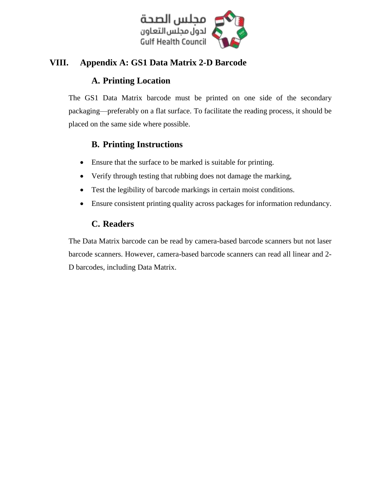

## <span id="page-8-1"></span><span id="page-8-0"></span>**VIII. Appendix A: GS1 Data Matrix 2-D Barcode**

#### **A. Printing Location**

The GS1 Data Matrix barcode must be printed on one side of the secondary packaging—preferably on a flat surface. To facilitate the reading process, it should be placed on the same side where possible.

#### **B. Printing Instructions**

- <span id="page-8-2"></span>Ensure that the surface to be marked is suitable for printing.
- Verify through testing that rubbing does not damage the marking,
- Test the legibility of barcode markings in certain moist conditions.
- Ensure consistent printing quality across packages for information redundancy.

#### **C. Readers**

<span id="page-8-3"></span>The Data Matrix barcode can be read by camera-based barcode scanners but not laser barcode scanners. However, camera-based barcode scanners can read all linear and 2- D barcodes, including Data Matrix.